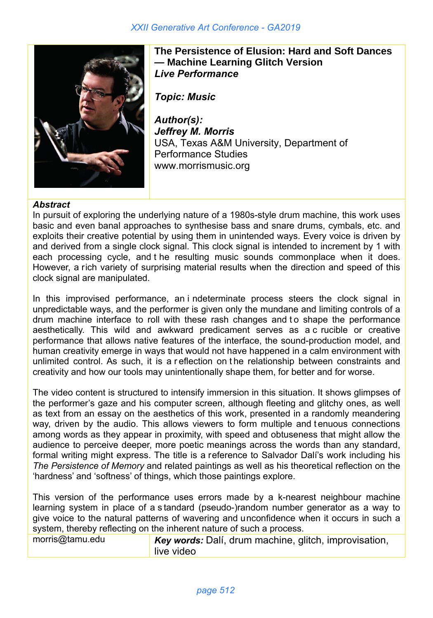

**The Persistence of Elusion: Hard and Soft Dances — Machine Learning Glitch Version** *Live Performance*

*Topic: Music*

*Author(s): Jeffrey M. Morris* USA, Texas A&M University, Department of Performance Studies www.morrismusic.org

## *Abstract*

In pursuit of exploring the underlying nature of a 1980s-style drum machine, this work uses basic and even banal approaches to synthesise bass and snare drums, cymbals, etc. and exploits their creative potential by using them in unintended ways. Every voice is driven by and derived from a single clock signal. This clock signal is intended to increment by 1 with each processing cycle, and t he resulting music sounds commonplace when it does. However, a rich variety of surprising material results when the direction and speed of this clock signal are manipulated.

In this improvised performance, an i ndeterminate process steers the clock signal in unpredictable ways, and the performer is given only the mundane and limiting controls of a drum machine interface to roll with these rash changes and to shape the performance aesthetically. This wild and awkward predicament serves as a c rucible or creative performance that allows native features of the interface, the sound-production model, and human creativity emerge in ways that would not have happened in a calm environment with unlimited control. As such, it is a r eflection on t he relationship between constraints and creativity and how our tools may unintentionally shape them, for better and for worse.

The video content is structured to intensify immersion in this situation. It shows glimpses of the performer's gaze and his computer screen, although fleeting and glitchy ones, as well as text from an essay on the aesthetics of this work, presented in a randomly meandering way, driven by the audio. This allows viewers to form multiple and t enuous connections among words as they appear in proximity, with speed and obtuseness that might allow the audience to perceive deeper, more poetic meanings across the words than any standard, formal writing might express. The title is a reference to Salvador Dalí's work including his *The Persistence of Memory* and related paintings as well as his theoretical reflection on the 'hardness' and 'softness' of things, which those paintings explore.

This version of the performance uses errors made by a k-nearest neighbour machine learning system in place of a s tandard (pseudo-)random number generator as a way to give voice to the natural patterns of wavering and unconfidence when it occurs in such a system, thereby reflecting on the inherent nature of such a process.

morris@tamu.edu *Key words:* Dalí, drum machine, glitch, improvisation, live video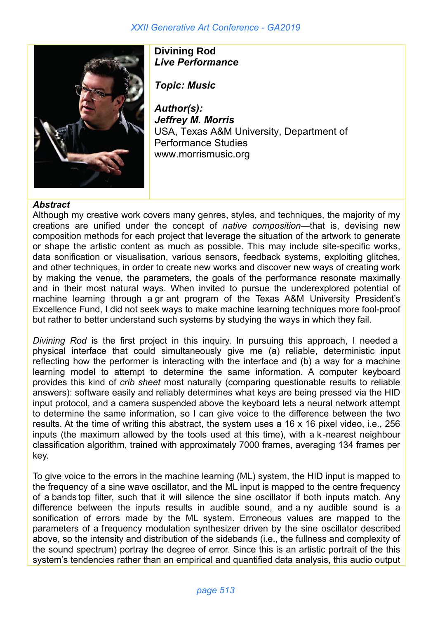

**Divining Rod** *Live Performance*

*Topic: Music*

*Author(s): Jeffrey M. Morris* USA, Texas A&M University, Department of Performance Studies www.morrismusic.org

## *Abstract*

Although my creative work covers many genres, styles, and techniques, the majority of my creations are unified under the concept of *native composition*—that is, devising new composition methods for each project that leverage the situation of the artwork to generate or shape the artistic content as much as possible. This may include site-specific works, data sonification or visualisation, various sensors, feedback systems, exploiting glitches, and other techniques, in order to create new works and discover new ways of creating work by making the venue, the parameters, the goals of the performance resonate maximally and in their most natural ways. When invited to pursue the underexplored potential of machine learning through a gr ant program of the Texas A&M University President's Excellence Fund, I did not seek ways to make machine learning techniques more fool-proof but rather to better understand such systems by studying the ways in which they fail.

*Divining Rod* is the first project in this inquiry. In pursuing this approach, I needed a physical interface that could simultaneously give me (a) reliable, deterministic input reflecting how the performer is interacting with the interface and (b) a way for a machine learning model to attempt to determine the same information. A computer keyboard provides this kind of *crib sheet* most naturally (comparing questionable results to reliable answers): software easily and reliably determines what keys are being pressed via the HID input protocol, and a camera suspended above the keyboard lets a neural network attempt to determine the same information, so I can give voice to the difference between the two results. At the time of writing this abstract, the system uses a 16 x 16 pixel video, i.e., 256 inputs (the maximum allowed by the tools used at this time), with a k -nearest neighbour classification algorithm, trained with approximately 7000 frames, averaging 134 frames per key.

To give voice to the errors in the machine learning (ML) system, the HID input is mapped to the frequency of a sine wave oscillator, and the ML input is mapped to the centre frequency of a bands top filter, such that it will silence the sine oscillator if both inputs match. Any difference between the inputs results in audible sound, and a ny audible sound is a sonification of errors made by the ML system. Erroneous values are mapped to the parameters of a frequency modulation synthesizer driven by the sine oscillator described above, so the intensity and distribution of the sidebands (i.e., the fullness and complexity of the sound spectrum) portray the degree of error. Since this is an artistic portrait of the this system's tendencies rather than an empirical and quantified data analysis, this audio output